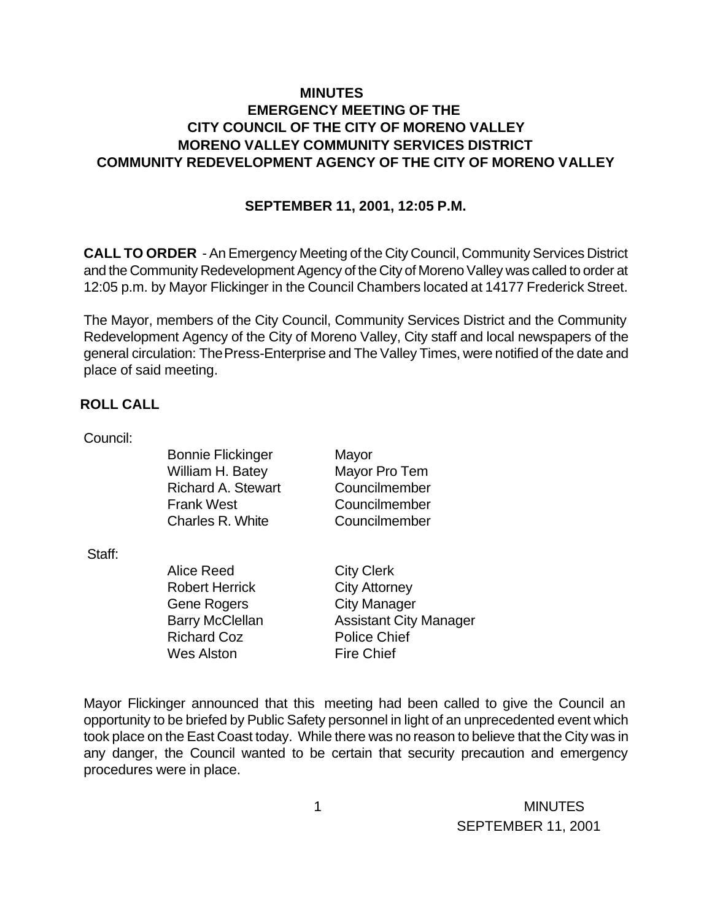## **MINUTES EMERGENCY MEETING OF THE CITY COUNCIL OF THE CITY OF MORENO VALLEY MORENO VALLEY COMMUNITY SERVICES DISTRICT COMMUNITY REDEVELOPMENT AGENCY OF THE CITY OF MORENO VALLEY**

## **SEPTEMBER 11, 2001, 12:05 P.M.**

**CALL TO ORDER** - An Emergency Meeting of the City Council, Community Services District and the Community Redevelopment Agency of the City of Moreno Valley was called to order at 12:05 p.m. by Mayor Flickinger in the Council Chambers located at 14177 Frederick Street.

The Mayor, members of the City Council, Community Services District and the Community Redevelopment Agency of the City of Moreno Valley, City staff and local newspapers of the general circulation: The Press-Enterprise and The Valley Times, were notified of the date and place of said meeting.

## **ROLL CALL**

Council:

Bonnie Flickinger Mayor William H. Batey Mayor Pro Tem Richard A. Stewart Councilmember Frank West Councilmember Charles R. White Councilmember

Staff:

Alice Reed City Clerk Robert Herrick City Attorney Gene Rogers City Manager Richard Coz **Police Chief** Wes Alston Fire Chief

Barry McClellan Assistant City Manager

Mayor Flickinger announced that this meeting had been called to give the Council an opportunity to be briefed by Public Safety personnel in light of an unprecedented event which took place on the East Coast today. While there was no reason to believe that the City was in any danger, the Council wanted to be certain that security precaution and emergency procedures were in place.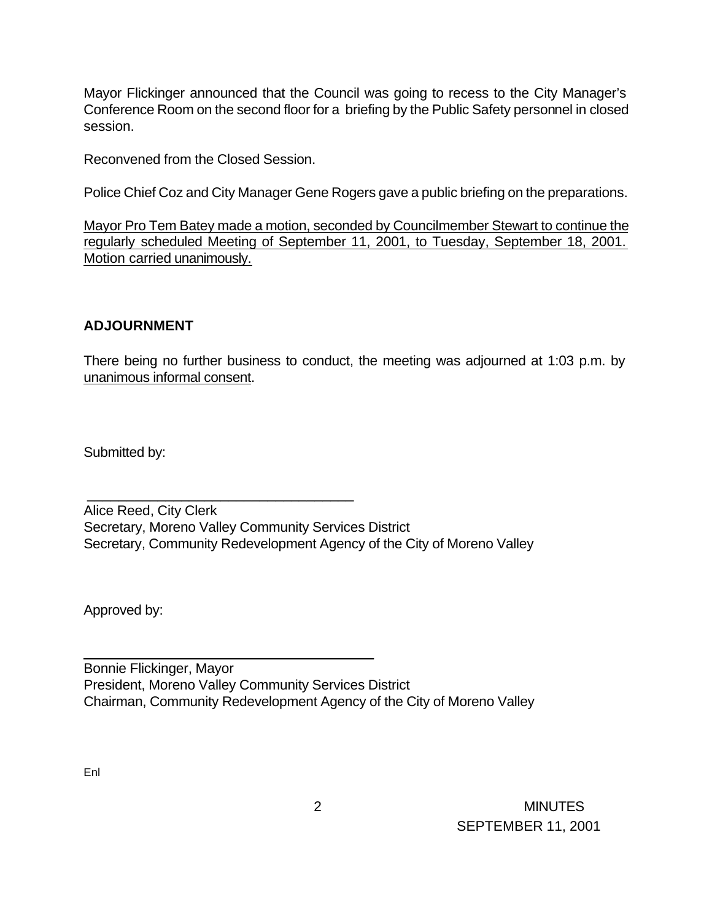Mayor Flickinger announced that the Council was going to recess to the City Manager's Conference Room on the second floor for a briefing by the Public Safety personnel in closed session.

Reconvened from the Closed Session.

\_\_\_\_\_\_\_\_\_\_\_\_\_\_\_\_\_\_\_\_\_\_\_\_\_\_\_\_\_\_\_\_\_\_

\_\_\_\_\_\_\_\_\_\_\_\_\_\_\_\_\_\_\_\_\_\_\_\_\_\_\_\_\_\_\_\_\_\_\_\_\_

Police Chief Coz and City Manager Gene Rogers gave a public briefing on the preparations.

Mayor Pro Tem Batey made a motion, seconded by Councilmember Stewart to continue the regularly scheduled Meeting of September 11, 2001, to Tuesday, September 18, 2001. Motion carried unanimously.

## **ADJOURNMENT**

There being no further business to conduct, the meeting was adjourned at 1:03 p.m. by unanimous informal consent.

Submitted by:

Alice Reed, City Clerk Secretary, Moreno Valley Community Services District Secretary, Community Redevelopment Agency of the City of Moreno Valley

Approved by:

Bonnie Flickinger, Mayor President, Moreno Valley Community Services District Chairman, Community Redevelopment Agency of the City of Moreno Valley

Enl